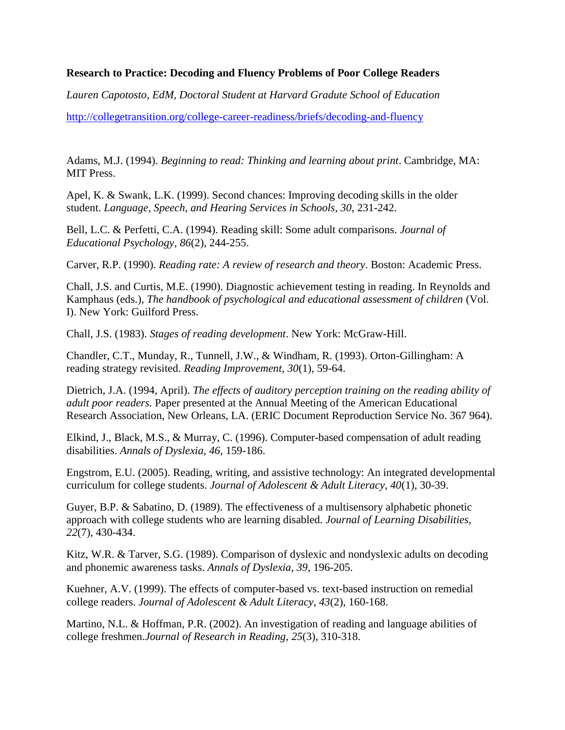## **Research to Practice: Decoding and Fluency Problems of Poor College Readers**

*Lauren Capotosto, EdM, Doctoral Student at Harvard Gradute School of Education*

<http://collegetransition.org/college-career-readiness/briefs/decoding-and-fluency>

Adams, M.J. (1994). *Beginning to read: Thinking and learning about print*. Cambridge, MA: MIT Press.

Apel, K. & Swank, L.K. (1999). Second chances: Improving decoding skills in the older student. *Language, Speech, and Hearing Services in Schools, 30,* 231-242.

Bell, L.C. & Perfetti, C.A. (1994). Reading skill: Some adult comparisons. *Journal of Educational Psychology, 86*(2), 244-255.

Carver, R.P. (1990). *Reading rate: A review of research and theory*. Boston: Academic Press.

Chall, J.S. and Curtis, M.E. (1990). Diagnostic achievement testing in reading. In Reynolds and Kamphaus (eds.), *The handbook of psychological and educational assessment of children* (Vol. I). New York: Guilford Press.

Chall, J.S. (1983). *Stages of reading development*. New York: McGraw-Hill.

Chandler, C.T., Munday, R., Tunnell, J.W., & Windham, R. (1993). Orton-Gillingham: A reading strategy revisited. *Reading Improvement, 30*(1), 59-64.

Dietrich, J.A. (1994, April). *The effects of auditory perception training on the reading ability of adult poor readers.* Paper presented at the Annual Meeting of the American Educational Research Association, New Orleans, LA. (ERIC Document Reproduction Service No. 367 964).

Elkind, J., Black, M.S., & Murray, C. (1996). Computer-based compensation of adult reading disabilities. *Annals of Dyslexia, 46,* 159-186.

Engstrom, E.U. (2005). Reading, writing, and assistive technology: An integrated developmental curriculum for college students. *Journal of Adolescent & Adult Literacy, 40*(1), 30-39.

Guyer, B.P. & Sabatino, D. (1989). The effectiveness of a multisensory alphabetic phonetic approach with college students who are learning disabled. *Journal of Learning Disabilities, 22*(7), 430-434.

Kitz, W.R. & Tarver, S.G. (1989). Comparison of dyslexic and nondyslexic adults on decoding and phonemic awareness tasks. *Annals of Dyslexia, 39,* 196-205.

Kuehner, A.V. (1999). The effects of computer-based vs. text-based instruction on remedial college readers. *Journal of Adolescent & Adult Literacy*, *43*(2), 160-168.

Martino, N.L. & Hoffman, P.R. (2002). An investigation of reading and language abilities of college freshmen.*Journal of Research in Reading*, *25*(3), 310-318.